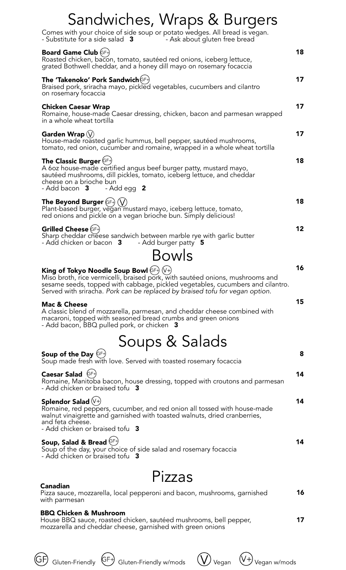| Sandwiches, Wraps & Burgers                                                                                                                                                                                                                                                                       |    |
|---------------------------------------------------------------------------------------------------------------------------------------------------------------------------------------------------------------------------------------------------------------------------------------------------|----|
| Comes with your choice of side soup or potato wedges. All bread is vegan.<br>- Substitute for a side salad 3 Theory Ask about gluten free bread                                                                                                                                                   |    |
| <b>Board Game Club (GF+)</b><br>Roasted chicken, bacon, tomato, sautéed red onions, iceberg lettuce,<br>grated Bothwell cheddar, and a honey dill mayo on rosemary focaccia                                                                                                                       | 18 |
| <b>The 'Takenoko' Pork Sandwich</b> (GF+)<br>Braised pork, sriracha mayo, pickled vegetables, cucumbers and cilantro<br>on rosemary focaccia                                                                                                                                                      | 17 |
| <b>Chicken Caesar Wrap</b><br>Romaine, house-made Caesar dressing, chicken, bacon and parmesan wrapped<br>in a whole wheat tortilla                                                                                                                                                               | 17 |
| Garden Wrap $\left\langle \right\rangle$<br>House-made roasted garlic hummus, bell pepper, sautéed mushrooms,<br>tomato, red onion, cucumber and romaine, wrapped in a whole wheat tortilla                                                                                                       | 17 |
| The Classic Burger $(F)$<br>A 60z house-made certified angus beef burger patty, mustard mayo,<br>sautéed mushrooms, dill pickles, tomato, iceberg lettuce, and cheddar<br>cheese on a brioche bun<br>- Add bacon 3 - Add egg 2                                                                    | 18 |
| The Beyond Burger $(F+)$ $(V)$<br>Plant-based burger, vegan mustard mayo, iceberg lettuce, tomato,<br>red onions and pickle on a vegan brioche bun. Simply delicious!                                                                                                                             | 18 |
| Grilled Cheese (GF+)<br>Sharp cheddar cheese sandwich between marble rye with garlic butter<br>- Add chicken or bacon 3 - Add burger patty 5                                                                                                                                                      | 12 |
| Bowls                                                                                                                                                                                                                                                                                             |    |
| King of Tokyo Noodle Soup Bowl $(F^+)$ $(V^+)$<br>Miso broth, rice vermicelli, braised pork, with sautéed onions, mushrooms and<br>sesame seeds, topped with cabbage, pickled vegetables, cucumbers and cilantro.<br>Served with sriracha. Pork can be replaced by braised tofu for vegan option. | 16 |
| <b>Mac &amp; Cheese</b><br>A classic blend of mozzarella, parmesan, and cheddar cheese combined with<br>macaroni, topped with seasoned bread crumbs and green onions<br>- Add bacon, BBQ pulled pork, or chicken 3                                                                                | 15 |
| Soups & Salads                                                                                                                                                                                                                                                                                    |    |
| Soup of the Day $(F)$<br>Soup made fresh with love. Served with toasted rosemary focaccia                                                                                                                                                                                                         | 8  |
| Caesar Salad $(\text{GF})$<br>Romaine, Manitoba bacon, house dressing, topped with croutons and parmesan<br>- Add chicken or braised tofu 3                                                                                                                                                       | 14 |
| Splendor Salad $(\forall \cdot)$<br>Romaine, red peppers, cucumber, and red onion all tossed with house-made<br>walnut vinaigrette and garnished with toasted walnuts, dried cranberries,<br>and feta cheese.<br>- Add chicken or braised tofu 3                                                  | 14 |
| Soup, Salad & Bread GF+<br>Soup of the day, your choice of side salad and rosemary focaccia<br>- Add chicken or braised tofu 3                                                                                                                                                                    | 14 |
| Pizzas                                                                                                                                                                                                                                                                                            |    |
| Canadian                                                                                                                                                                                                                                                                                          | 16 |
| Pizza sauce, mozzarella, local pepperoni and bacon, mushrooms, garnished<br>with parmesan                                                                                                                                                                                                         |    |

#### **BBQ Chicken & Mushroom**

**17** House BBQ sauce, roasted chicken, sautéed mushrooms, bell pepper, mozzarella and cheddar cheese, garnished with green onions